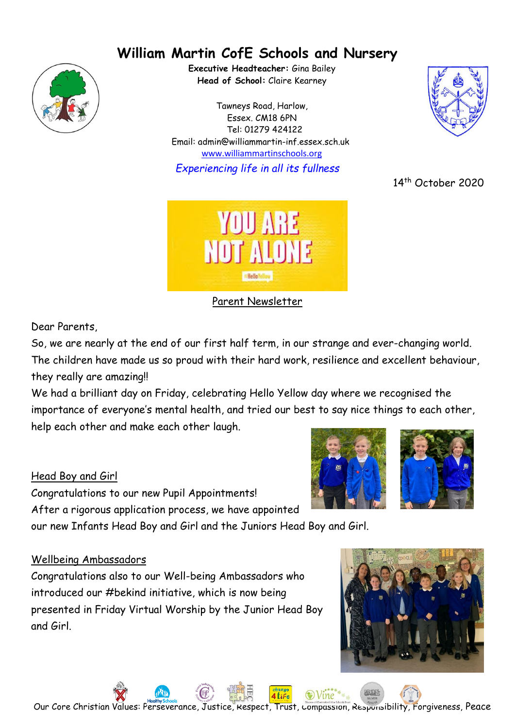# **William Martin CofE Schools and Nursery**



**Executive Headteacher:** Gina Bailey **Head of School:** Claire Kearney

Tawneys Road, Harlow, Essex. CM18 6PN Tel: 01279 424122 Email: admin@williammartin-inf.essex.sch.uk www.williammartinschools.org

*Experiencing life in all its fullness*



Parent Newsletter

Dear Parents,

So, we are nearly at the end of our first half term, in our strange and ever-changing world. The children have made us so proud with their hard work, resilience and excellent behaviour, they really are amazing!!

We had a brilliant day on Friday, celebrating Hello Yellow day where we recognised the importance of everyone's mental health, and tried our best to say nice things to each other, help each other and make each other laugh.

# Head Boy and Girl

Congratulations to our new Pupil Appointments! After a rigorous application process, we have appointed our new Infants Head Boy and Girl and the Juniors Head Boy and Girl.

#### Wellbeing Ambassadors

Congratulations also to our Well-being Ambassadors who introduced our #bekind initiative, which is now being presented in Friday Virtual Worship by the Junior Head Boy and Girl.





14<sup>th</sup> October 2020





Our Core Christian Values: Perseverance, Justice, Respect, Trust, Compassion, Responsibility, Forgiveness, Peace

4 Life

 $\odot$  Vine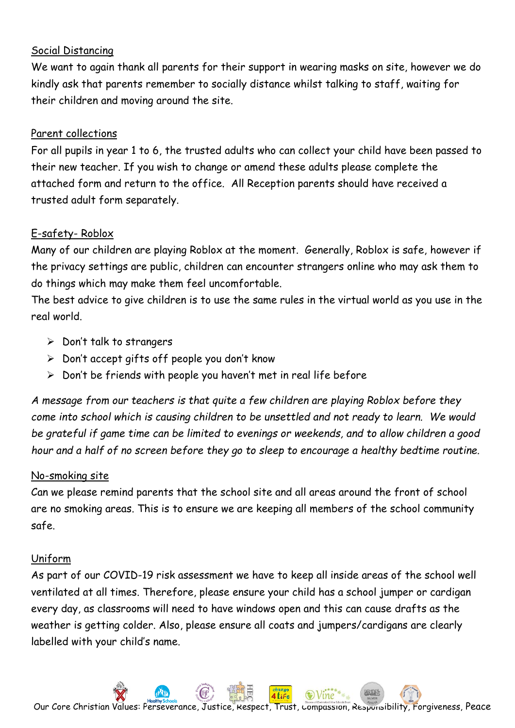#### Social Distancing

We want to again thank all parents for their support in wearing masks on site, however we do kindly ask that parents remember to socially distance whilst talking to staff, waiting for their children and moving around the site.

# Parent collections

For all pupils in year 1 to 6, the trusted adults who can collect your child have been passed to their new teacher. If you wish to change or amend these adults please complete the attached form and return to the office. All Reception parents should have received a trusted adult form separately.

# E-safety- Roblox

Many of our children are playing Roblox at the moment. Generally, Roblox is safe, however if the privacy settings are public, children can encounter strangers online who may ask them to do things which may make them feel uncomfortable.

The best advice to give children is to use the same rules in the virtual world as you use in the real world.

- $\triangleright$  Don't talk to strangers
- ➢ Don't accept gifts off people you don't know
- $\triangleright$  Don't be friends with people you haven't met in real life before

*A message from our teachers is that quite a few children are playing Roblox before they come into school which is causing children to be unsettled and not ready to learn. We would be grateful if game time can be limited to evenings or weekends, and to allow children a good hour and a half of no screen before they go to sleep to encourage a healthy bedtime routine.*

# No-smoking site

Can we please remind parents that the school site and all areas around the front of school are no smoking areas. This is to ensure we are keeping all members of the school community safe.

# Uniform

As part of our COVID-19 risk assessment we have to keep all inside areas of the school well ventilated at all times. Therefore, please ensure your child has a school jumper or cardigan every day, as classrooms will need to have windows open and this can cause drafts as the weather is getting colder. Also, please ensure all coats and jumpers/cardigans are clearly labelled with your child's name.